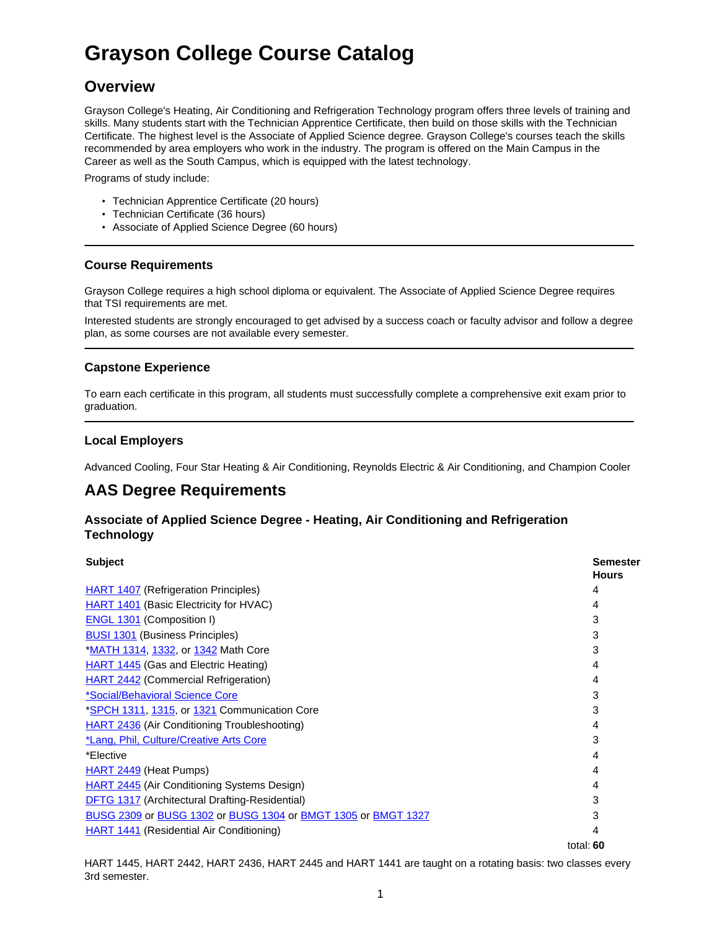# **Grayson College Course Catalog**

## **Overview**

Grayson College's Heating, Air Conditioning and Refrigeration Technology program offers three levels of training and skills. Many students start with the Technician Apprentice Certificate, then build on those skills with the Technician Certificate. The highest level is the Associate of Applied Science degree. Grayson College's courses teach the skills recommended by area employers who work in the industry. The program is offered on the Main Campus in the Career as well as the South Campus, which is equipped with the latest technology.

Programs of study include:

- Technician Apprentice Certificate (20 hours)
- Technician Certificate (36 hours)
- Associate of Applied Science Degree (60 hours)

### **Course Requirements**

Grayson College requires a high school diploma or equivalent. The Associate of Applied Science Degree requires that TSI requirements are met.

Interested students are strongly encouraged to get advised by a success coach or faculty advisor and follow a degree plan, as some courses are not available every semester.

### **Capstone Experience**

To earn each certificate in this program, all students must successfully complete a comprehensive exit exam prior to graduation.

### **Local Employers**

Advanced Cooling, Four Star Heating & Air Conditioning, Reynolds Electric & Air Conditioning, and Champion Cooler

### **AAS Degree Requirements**

### **Associate of Applied Science Degree - Heating, Air Conditioning and Refrigeration Technology**

| <b>Subject</b>                                                | <b>Semester</b><br><b>Hours</b> |
|---------------------------------------------------------------|---------------------------------|
| HART 1407 (Refrigeration Principles)                          | 4                               |
| <b>HART 1401</b> (Basic Electricity for HVAC)                 | 4                               |
| <b>ENGL 1301</b> (Composition I)                              | 3                               |
| <b>BUSI 1301</b> (Business Principles)                        | 3                               |
| <b>*MATH 1314, 1332, or 1342 Math Core</b>                    | 3                               |
| <b>HART 1445</b> (Gas and Electric Heating)                   | 4                               |
| <b>HART 2442 (Commercial Refrigeration)</b>                   | 4                               |
| *Social/Behavioral Science Core                               | 3                               |
| *SPCH 1311, 1315, or 1321 Communication Core                  | 3                               |
| <b>HART 2436 (Air Conditioning Troubleshooting)</b>           | 4                               |
| *Lang, Phil, Culture/Creative Arts Core                       | 3                               |
| *Elective                                                     | 4                               |
| HART 2449 (Heat Pumps)                                        | 4                               |
| <b>HART 2445 (Air Conditioning Systems Design)</b>            | 4                               |
| DFTG 1317 (Architectural Drafting-Residential)                | 3                               |
| BUSG 2309 or BUSG 1302 or BUSG 1304 or BMGT 1305 or BMGT 1327 | 3                               |
| <b>HART 1441 (Residential Air Conditioning)</b>               | 4                               |
|                                                               | total: $60$                     |

HART 1445, HART 2442, HART 2436, HART 2445 and HART 1441 are taught on a rotating basis: two classes every 3rd semester.